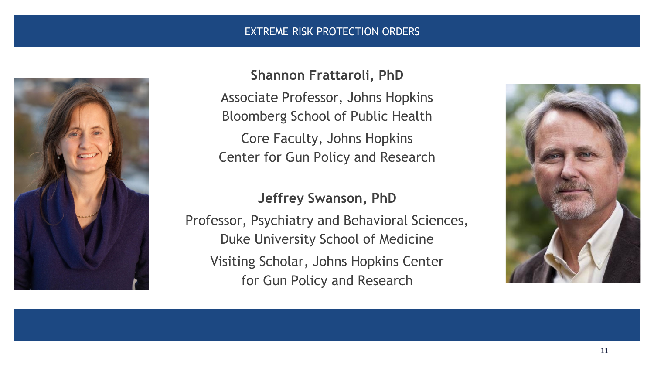#### EXTREME RISK PROTECTION ORDERS



#### **Shannon Frattaroli, PhD**

Associate Professor, Johns Hopkins Bloomberg School of Public Health Core Faculty, Johns Hopkins Center for Gun Policy and Research

#### **Jeffrey Swanson, PhD**

Professor, Psychiatry and Behavioral Sciences, Duke University School of Medicine Visiting Scholar, Johns Hopkins Center for Gun Policy and Research

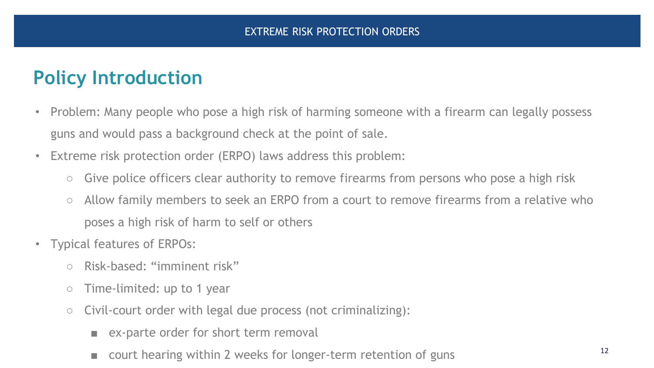# **Policy Introduction**

- Problem: Many people who pose a high risk of harming someone with a firearm can legally possess guns and would pass a background check at the point of sale.
- Extreme risk protection order (ERPO) laws address this problem:
	- Give police officers clear authority to remove firearms from persons who pose a high risk
	- Allow family members to seek an ERPO from a court to remove firearms from a relative who poses a high risk of harm to self or others
- Typical features of ERPOs:
	- Risk-based: "imminent risk"
	- Time-limited: up to 1 year
	- Civil-court order with legal due process (not criminalizing):
		- ex-parte order for short term removal
		- court hearing within 2 weeks for longer-term retention of guns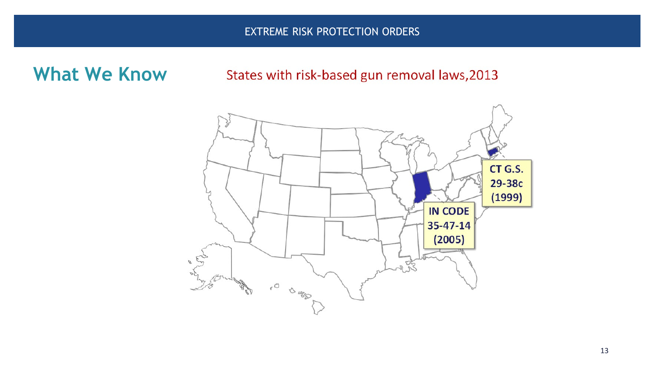EXTREME RISK PROTECTION ORDERS

### **What We Know**

#### States with risk-based gun removal laws, 2013

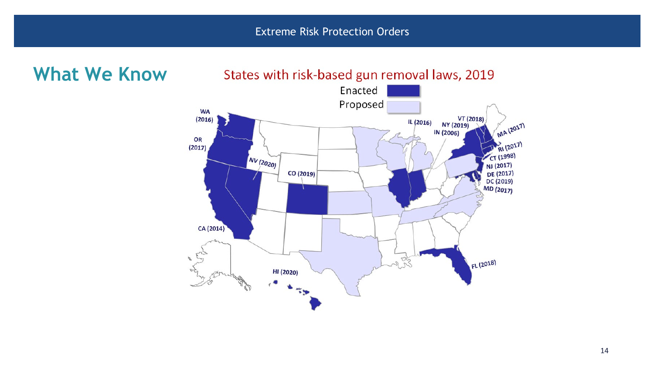**What We Know**States with risk-based gun removal laws, 2019 Enacted Proposed **WA** VT (2018)<br>NY (2019)  $(2016)$ IL (2016) IN (2006) OR  $(2017)$  $\boxed{NV(2020)}$ CO (2019) CA (2014) 25 FL (2018) HI (2020)  $\epsilon_{\rm 50}$ 

MA (2017)

D RI (2017)

CT (1998)

NJ (2017)

DE (2017)  $DC(2019)$ MD (2017)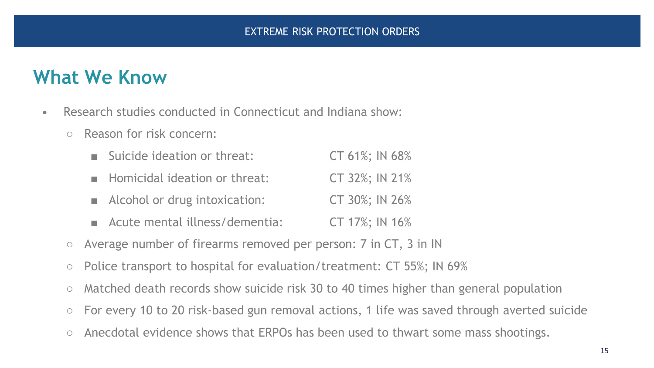- Research studies conducted in Connecticut and Indiana show:
	- Reason for risk concern:

| Suicide ideation or threat:    | CT 61%; IN 68% |
|--------------------------------|----------------|
| Homicidal ideation or threat:  | CT 32%; IN 21% |
| Alcohol or drug intoxication:  | CT 30%; IN 26% |
| Acute mental illness/dementia: | CT 17%; IN 16% |

- Average number of firearms removed per person: 7 in CT, 3 in IN
- Police transport to hospital for evaluation/treatment: CT 55%; IN 69%
- Matched death records show suicide risk 30 to 40 times higher than general population
- For every 10 to 20 risk-based gun removal actions, 1 life was saved through averted suicide
- Anecdotal evidence shows that ERPOs has been used to thwart some mass shootings.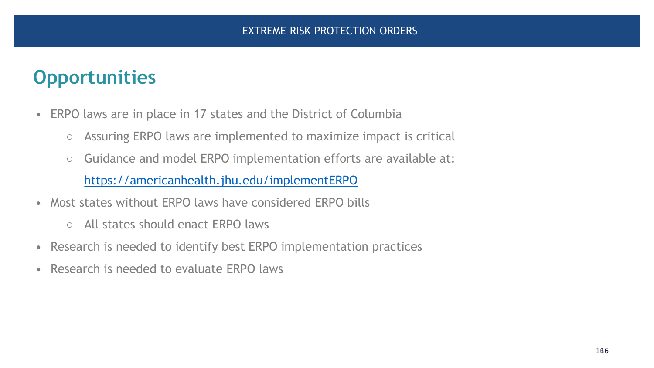# **Opportunities**

- ERPO laws are in place in 17 states and the District of Columbia
	- Assuring ERPO laws are implemented to maximize impact is critical
	- Guidance and model ERPO implementation efforts are available at: <https://americanhealth.jhu.edu/implementERPO>
- Most states without ERPO laws have considered ERPO bills
	- All states should enact ERPO laws
- Research is needed to identify best ERPO implementation practices
- Research is needed to evaluate ERPO laws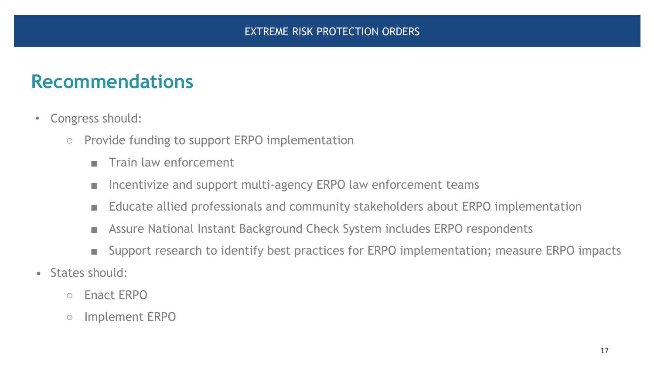### **Recommendations**

- Congress should:
	- Provide funding to support ERPO implementation
		- Train law enforcement
		- Incentivize and support multi-agency ERPO law enforcement teams
		- Educate allied professionals and community stakeholders about ERPO implementation
		- Assure National Instant Background Check System includes ERPO respondents
		- Support research to identify best practices for ERPO implementation; measure ERPO impacts
- States should:
	- Enact ERPO
	- Implement ERPO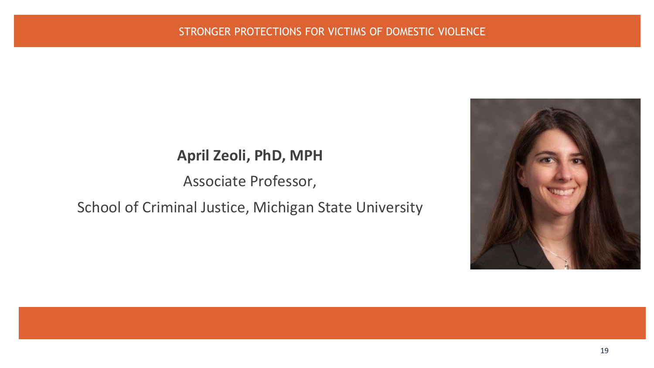#### **April Zeoli, PhD, MPH**

#### Associate Professor,

#### School of Criminal Justice, Michigan State University

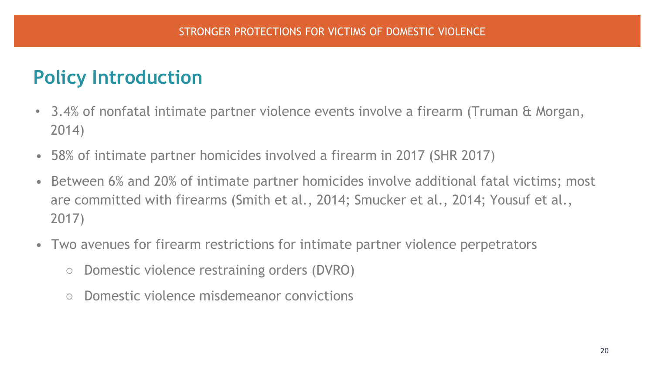## **Policy Introduction**

- 3.4% of nonfatal intimate partner violence events involve a firearm (Truman & Morgan, 2014)
- 58% of intimate partner homicides involved a firearm in 2017 (SHR 2017)
- Between 6% and 20% of intimate partner homicides involve additional fatal victims; most are committed with firearms (Smith et al., 2014; Smucker et al., 2014; Yousuf et al., 2017)
- Two avenues for firearm restrictions for intimate partner violence perpetrators
	- Domestic violence restraining orders (DVRO)
	- Domestic violence misdemeanor convictions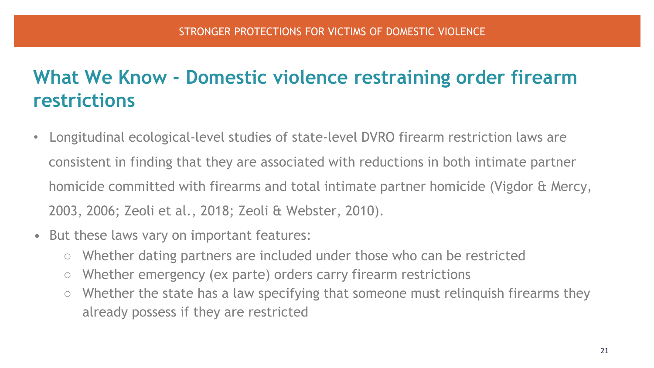# **What We Know - Domestic violence restraining order firearm restrictions**

- Longitudinal ecological-level studies of state-level DVRO firearm restriction laws are consistent in finding that they are associated with reductions in both intimate partner homicide committed with firearms and total intimate partner homicide (Vigdor & Mercy, 2003, 2006; Zeoli et al., 2018; Zeoli & Webster, 2010).
- But these laws vary on important features:
	- Whether dating partners are included under those who can be restricted
	- Whether emergency (ex parte) orders carry firearm restrictions
	- Whether the state has a law specifying that someone must relinquish firearms they already possess if they are restricted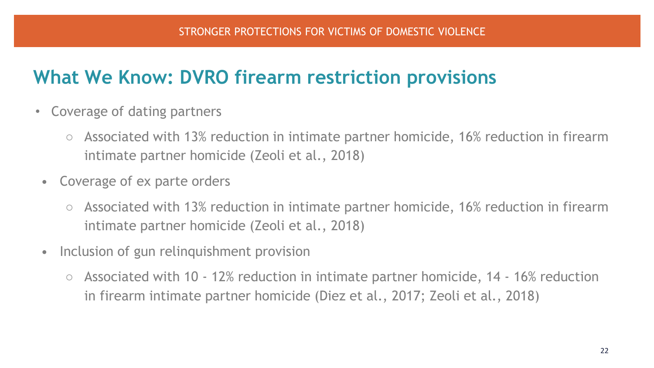# **What We Know: DVRO firearm restriction provisions**

- Coverage of dating partners
	- Associated with 13% reduction in intimate partner homicide, 16% reduction in firearm intimate partner homicide (Zeoli et al., 2018)
	- Coverage of ex parte orders
		- Associated with 13% reduction in intimate partner homicide, 16% reduction in firearm intimate partner homicide (Zeoli et al., 2018)
	- Inclusion of gun relinquishment provision
		- Associated with 10 12% reduction in intimate partner homicide, 14 16% reduction in firearm intimate partner homicide (Diez et al., 2017; Zeoli et al., 2018)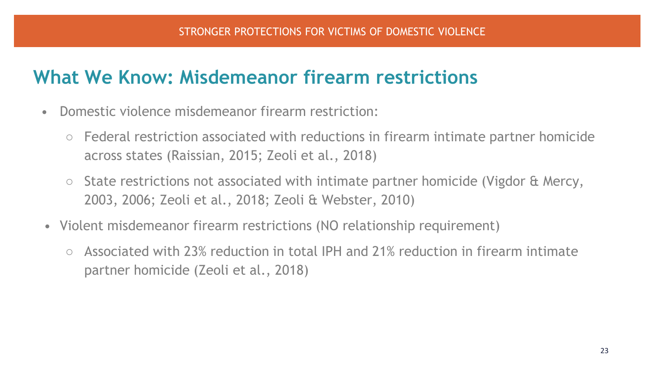## **What We Know: Misdemeanor firearm restrictions**

- Domestic violence misdemeanor firearm restriction:
	- Federal restriction associated with reductions in firearm intimate partner homicide across states (Raissian, 2015; Zeoli et al., 2018)
	- State restrictions not associated with intimate partner homicide (Vigdor & Mercy, 2003, 2006; Zeoli et al., 2018; Zeoli & Webster, 2010)
- Violent misdemeanor firearm restrictions (NO relationship requirement)
	- Associated with 23% reduction in total IPH and 21% reduction in firearm intimate partner homicide (Zeoli et al., 2018)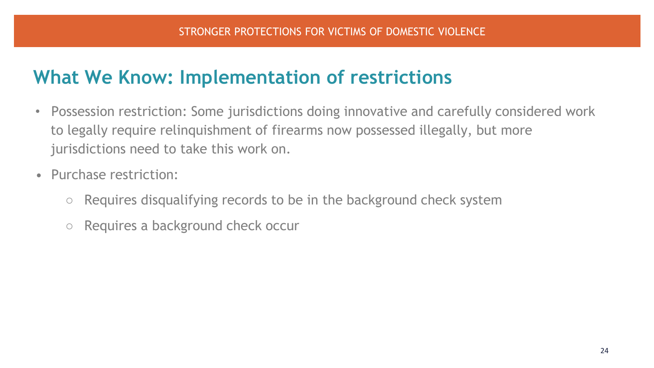## **What We Know: Implementation of restrictions**

- Possession restriction: Some jurisdictions doing innovative and carefully considered work to legally require relinquishment of firearms now possessed illegally, but more jurisdictions need to take this work on.
- Purchase restriction:
	- $\circ$  Requires disqualifying records to be in the background check system
	- Requires a background check occur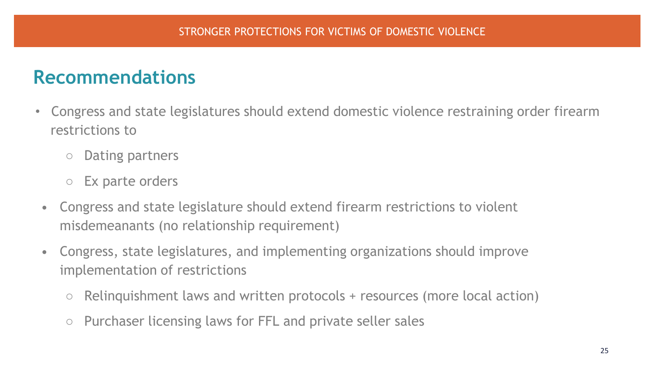## **Recommendations**

- Congress and state legislatures should extend domestic violence restraining order firearm restrictions to
	- Dating partners
	- Ex parte orders
- Congress and state legislature should extend firearm restrictions to violent misdemeanants (no relationship requirement)
- Congress, state legislatures, and implementing organizations should improve implementation of restrictions
	- $\circ$  Relinquishment laws and written protocols + resources (more local action)
	- Purchaser licensing laws for FFL and private seller sales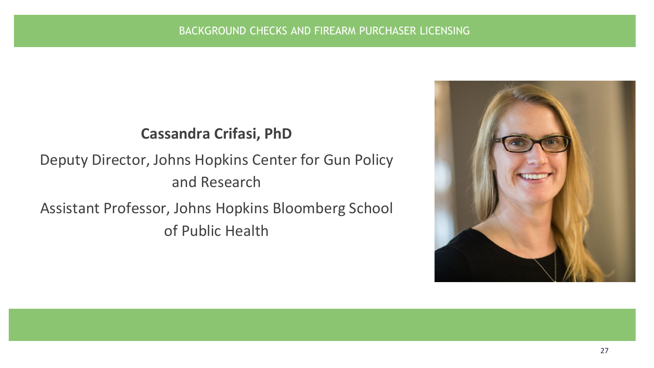

# Deputy Director, Johns Hopkins Center for Gun Policy and Research

Assistant Professor, Johns Hopkins Bloomberg School of Public Health

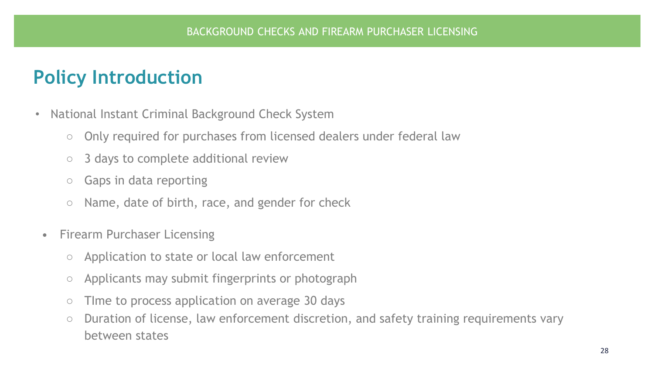## **Policy Introduction**

- National Instant Criminal Background Check System
	- Only required for purchases from licensed dealers under federal law
	- 3 days to complete additional review
	- Gaps in data reporting
	- Name, date of birth, race, and gender for check
	- Firearm Purchaser Licensing
		- Application to state or local law enforcement
		- Applicants may submit fingerprints or photograph
		- Time to process application on average 30 days
		- Duration of license, law enforcement discretion, and safety training requirements vary between states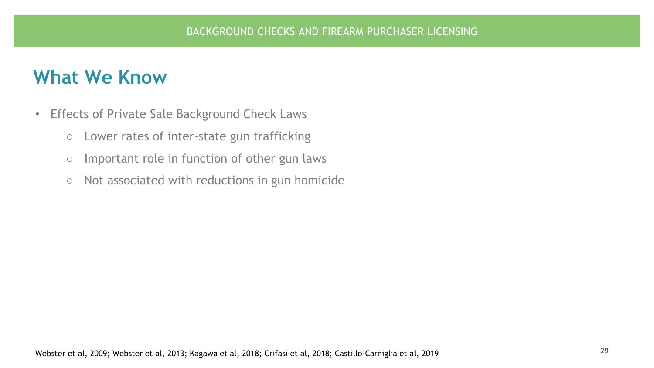- Effects of Private Sale Background Check Laws
	- Lower rates of inter-state gun trafficking
	- Important role in function of other gun laws
	- Not associated with reductions in gun homicide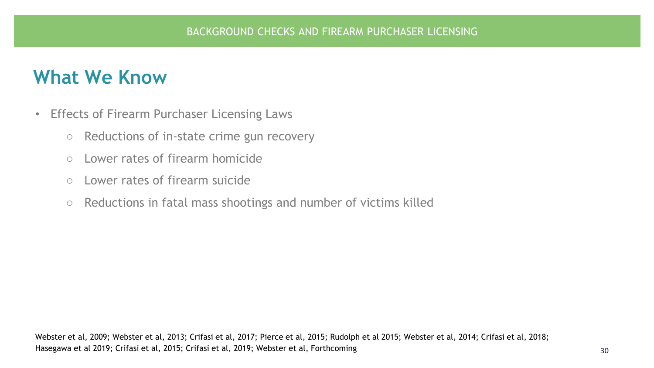- Effects of Firearm Purchaser Licensing Laws
	- Reductions of in-state crime gun recovery
	- Lower rates of firearm homicide
	- Lower rates of firearm suicide
	- Reductions in fatal mass shootings and number of victims killed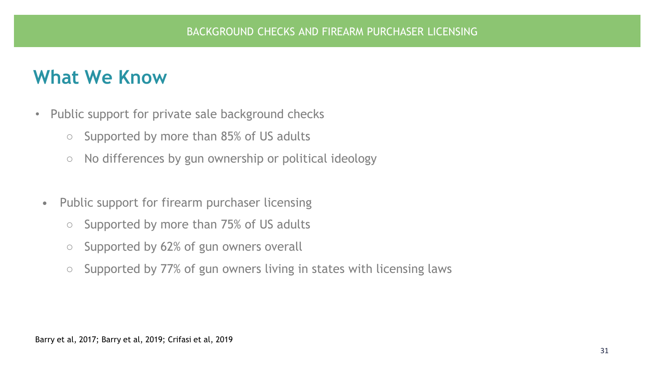- Public support for private sale background checks
	- Supported by more than 85% of US adults
	- No differences by gun ownership or political ideology
	- Public support for firearm purchaser licensing
		- Supported by more than 75% of US adults
		- Supported by 62% of gun owners overall
		- Supported by 77% of gun owners living in states with licensing laws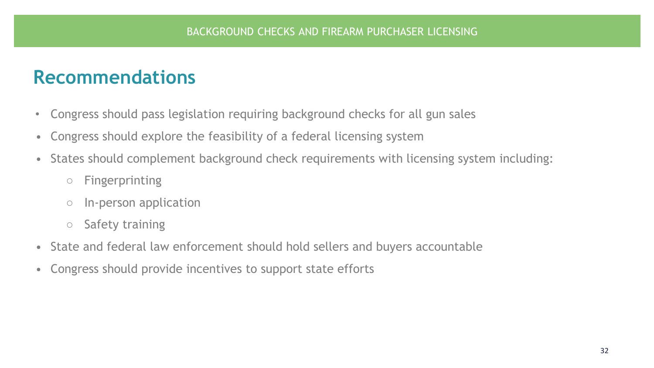#### **Recommendations**

- Congress should pass legislation requiring background checks for all gun sales
- Congress should explore the feasibility of a federal licensing system
- States should complement background check requirements with licensing system including:
	- Fingerprinting
	- In-person application
	- Safety training
- State and federal law enforcement should hold sellers and buyers accountable
- Congress should provide incentives to support state efforts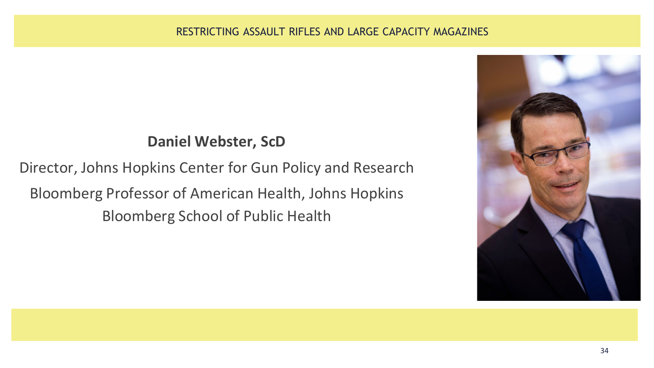#### **Daniel Webster, ScD**

Director, Johns Hopkins Center for Gun Policy and Research Bloomberg Professor of American Health, Johns Hopkins Bloomberg School of Public Health

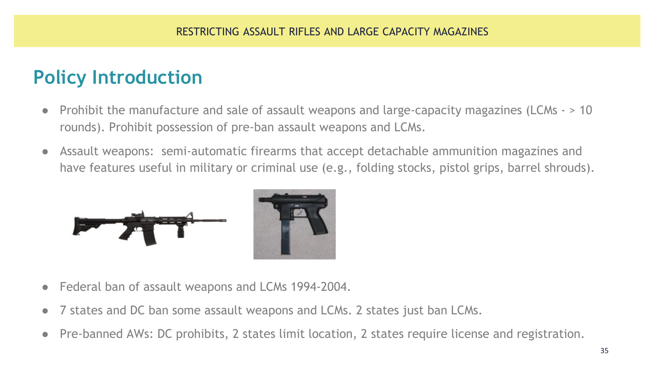# **Policy Introduction**

- Prohibit the manufacture and sale of assault weapons and large-capacity magazines (LCMs > 10 rounds). Prohibit possession of pre-ban assault weapons and LCMs.
- Assault weapons: semi-automatic firearms that accept detachable ammunition magazines and have features useful in military or criminal use (e.g., folding stocks, pistol grips, barrel shrouds).





- Federal ban of assault weapons and LCMs 1994-2004.
- 7 states and DC ban some assault weapons and LCMs. 2 states just ban LCMs.
- Pre-banned AWs: DC prohibits, 2 states limit location, 2 states require license and registration.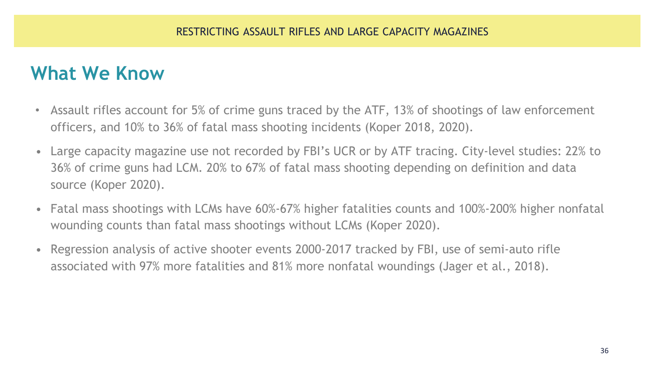- Assault rifles account for 5% of crime guns traced by the ATF, 13% of shootings of law enforcement officers, and 10% to 36% of fatal mass shooting incidents (Koper 2018, 2020).
- Large capacity magazine use not recorded by FBI's UCR or by ATF tracing. City-level studies: 22% to 36% of crime guns had LCM. 20% to 67% of fatal mass shooting depending on definition and data source (Koper 2020).
- Fatal mass shootings with LCMs have 60%-67% higher fatalities counts and 100%-200% higher nonfatal wounding counts than fatal mass shootings without LCMs (Koper 2020).
- Regression analysis of active shooter events 2000-2017 tracked by FBI, use of semi-auto rifle associated with 97% more fatalities and 81% more nonfatal woundings (Jager et al., 2018).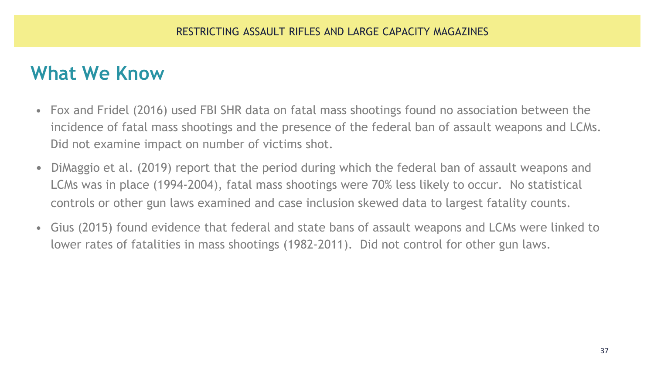- Fox and Fridel (2016) used FBI SHR data on fatal mass shootings found no association between the incidence of fatal mass shootings and the presence of the federal ban of assault weapons and LCMs. Did not examine impact on number of victims shot.
- DiMaggio et al. (2019) report that the period during which the federal ban of assault weapons and LCMs was in place (1994-2004), fatal mass shootings were 70% less likely to occur. No statistical controls or other gun laws examined and case inclusion skewed data to largest fatality counts.
- Gius (2015) found evidence that federal and state bans of assault weapons and LCMs were linked to lower rates of fatalities in mass shootings (1982-2011). Did not control for other gun laws.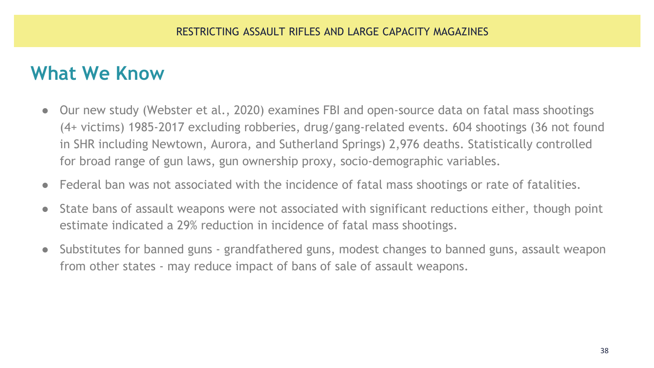- Our new study (Webster et al., 2020) examines FBI and open-source data on fatal mass shootings (4+ victims) 1985-2017 excluding robberies, drug/gang-related events. 604 shootings (36 not found in SHR including Newtown, Aurora, and Sutherland Springs) 2,976 deaths. Statistically controlled for broad range of gun laws, gun ownership proxy, socio-demographic variables.
- Federal ban was not associated with the incidence of fatal mass shootings or rate of fatalities.
- State bans of assault weapons were not associated with significant reductions either, though point estimate indicated a 29% reduction in incidence of fatal mass shootings.
- Substitutes for banned guns grandfathered guns, modest changes to banned guns, assault weapon from other states - may reduce impact of bans of sale of assault weapons.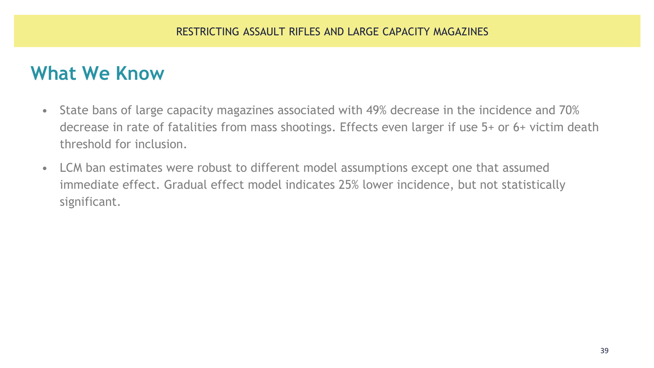- State bans of large capacity magazines associated with 49% decrease in the incidence and 70% decrease in rate of fatalities from mass shootings. Effects even larger if use 5+ or 6+ victim death threshold for inclusion.
- LCM ban estimates were robust to different model assumptions except one that assumed immediate effect. Gradual effect model indicates 25% lower incidence, but not statistically significant.